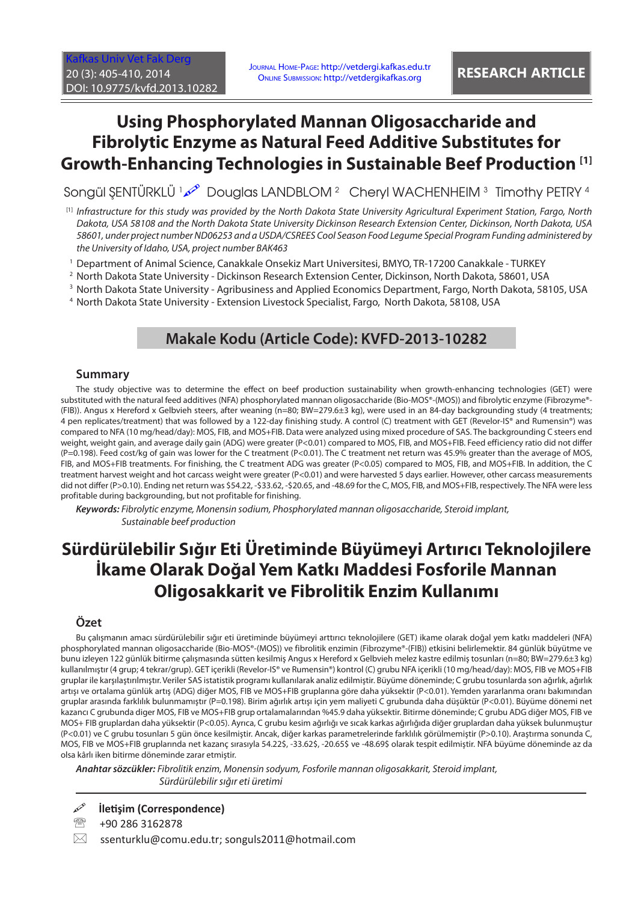[Kafkas Univ Vet Fak Derg](http://vetdergi.kafkas.edu.tr/) 20 (3): 405-410, 2014 DOI: 10.9775/kvfd.2013.10282

Journal Home-Page: http://vetdergi.kafkas.edu.tr Online Submission: http://vetdergikafkas.org **RESEARCH ARTICLE**

# **Using Phosphorylated Mannan Oligosaccharide and Fibrolytic Enzyme as Natural Feed Additive Substitutes for Growth-Enhancing Technologies in Sustainable Beef Production [1]**

Songül ŞENTÜRKLÜ محمد الـ Douglas LANDBLOM 2 Cheryl WACHENHEIM 3 Timothy PETRY 4

[1] *Infrastructure for this study was provided by the North Dakota State University Agricultural Experiment Station, Fargo, North Dakota, USA 58108 and the North Dakota State University Dickinson Research Extension Center, Dickinson, North Dakota, USA 58601, under project number ND06253 and a USDA/CSREES Cool Season Food Legume Special Program Funding administered by the University of Idaho, USA, project number BAK463*

1 Department of Animal Science, Canakkale Onsekiz Mart Universitesi, BMYO, TR-17200 Canakkale - TURKEY

2 North Dakota State University - Dickinson Research Extension Center, Dickinson, North Dakota, 58601, USA

 $^3$  North Dakota State University - Agribusiness and Applied Economics Department, Fargo, North Dakota, 58105, USA

4 North Dakota State University - Extension Livestock Specialist, Fargo, North Dakota, 58108, USA

# **Makale Kodu (Article Code): KVFD-2013-10282**

#### **Summary**

The study objective was to determine the effect on beef production sustainability when growth-enhancing technologies (GET) were substituted with the natural feed additives (NFA) phosphorylated mannan oligosaccharide (Bio-MOS®-(MOS)) and fibrolytic enzyme (Fibrozyme®-(FIB)). Angus x Hereford x Gelbvieh steers, after weaning (n=80; BW=279.6±3 kg), were used in an 84-day backgrounding study (4 treatments; 4 pen replicates/treatment) that was followed by a 122-day finishing study. A control (C) treatment with GET (Revelor-IS® and Rumensin®) was compared to NFA (10 mg/head/day): MOS, FIB, and MOS+FIB. Data were analyzed using mixed procedure of SAS. The backgrounding C steers end weight, weight gain, and average daily gain (ADG) were greater (P<0.01) compared to MOS, FIB, and MOS+FIB. Feed efficiency ratio did not differ (P=0.198). Feed cost/kg of gain was lower for the C treatment (P<0.01). The C treatment net return was 45.9% greater than the average of MOS, FIB, and MOS+FIB treatments. For finishing, the C treatment ADG was greater (P<0.05) compared to MOS, FIB, and MOS+FIB. In addition, the C treatment harvest weight and hot carcass weight were greater (P<0.01) and were harvested 5 days earlier. However, other carcass measurements did not differ (P>0.10). Ending net return was \$54.22, -\$33.62, -\$20.65, and -48.69 for the C, MOS, FIB, and MOS+FIB, respectively. The NFA were less profitable during backgrounding, but not profitable for finishing.

*Keywords: Fibrolytic enzyme, Monensin sodium, Phosphorylated mannan oligosaccharide, Steroid implant, Sustainable beef production*

# **Sürdürülebilir Sığır Eti Üretiminde Büyümeyi Artırıcı Teknolojilere İkame Olarak Doğal Yem Katkı Maddesi Fosforile Mannan Oligosakkarit ve Fibrolitik Enzim Kullanımı**

#### **Özet**

Bu çalışmanın amacı sürdürülebilir sığır eti üretiminde büyümeyi arttırıcı teknolojilere (GET) ikame olarak doğal yem katkı maddeleri (NFA) phosphorylated mannan oligosaccharide (Bio-MOS®-(MOS)) ve fibrolitik enzimin (Fibrozyme®-(FIB)) etkisini belirlemektir. 84 günlük büyütme ve bunu izleyen 122 günlük bitirme çalışmasında sütten kesilmiş Angus x Hereford x Gelbvieh melez kastre edilmiş tosunları (n=80; BW=279.6±3 kg) kullanılmıştır (4 grup; 4 tekrar/grup). GET içerikli (Revelor-IS® ve Rumensin®) kontrol (C) grubu NFA içerikli (10 mg/head/day): MOS, FIB ve MOS+FIB gruplar ile karşılaştırılmıştır. Veriler SAS istatistik programı kullanılarak analiz edilmiştir. Büyüme döneminde; C grubu tosunlarda son ağırlık, ağırlık artışı ve ortalama günlük artış (ADG) diğer MOS, FIB ve MOS+FIB gruplarına göre daha yüksektir (P<0.01). Yemden yararlanma oranı bakımından gruplar arasında farklılık bulunmamıştır (P=0.198). Birim ağırlık artışı için yem maliyeti C grubunda daha düşüktür (P<0.01). Büyüme dönemi net kazancı C grubunda diger MOS, FIB ve MOS+FIB grup ortalamalarından %45.9 daha yüksektir. Bitirme döneminde; C grubu ADG diğer MOS, FIB ve MOS+ FIB gruplardan daha yüksektir (P<0.05). Ayrıca, C grubu kesim ağırlığı ve sıcak karkas ağırlığıda diğer gruplardan daha yüksek bulunmuştur (P<0.01) ve C grubu tosunları 5 gün önce kesilmiştir. Ancak, diğer karkas parametrelerinde farklılık görülmemiştir (P>0.10). Araştırma sonunda C, MOS, FIB ve MOS+FIB gruplarında net kazanç sırasıyla 54.22\$, -33.62\$, -20.65\$ ve -48.69\$ olarak tespit edilmiştir. NFA büyüme döneminde az da olsa kârlı iken bitirme döneminde zarar etmiştir.

*Anahtar sözcükler: Fibrolitik enzim, Monensin sodyum, Fosforile mannan oligosakkarit, Steroid implant, Sürdürülebilir sığır eti üretimi*

#### **İletişim (Correspondence)**

<sup>2</sup> +90 286 3162878

 $\boxtimes$  ssenturklu@comu.edu.tr; songuls2011@hotmail.com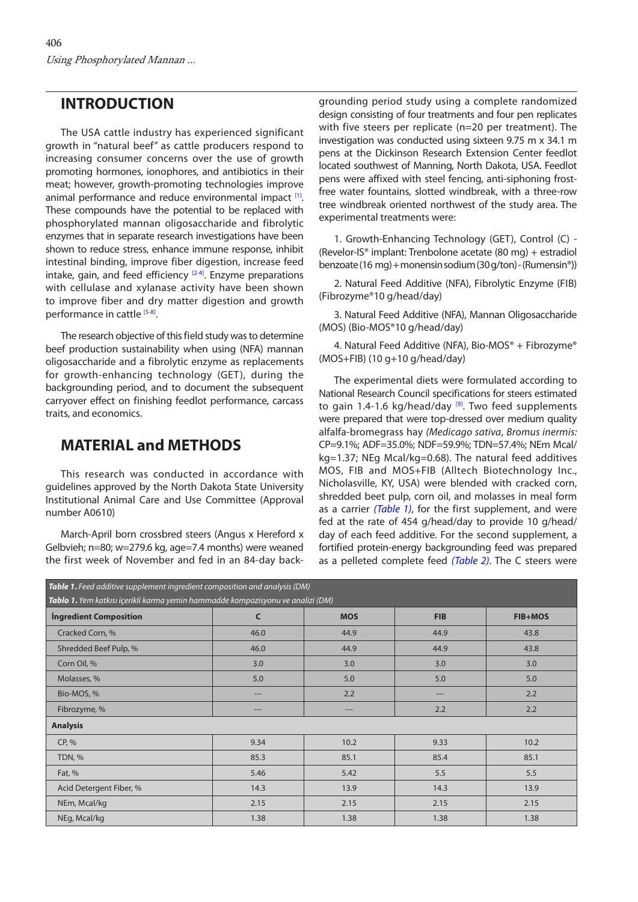### **INTRODUCTION**

The USA cattle industry has experienced significant growth in "natural beef" as cattle producers respond to increasing consumer concerns over the use of growth promoting hormones, ionophores, and antibiotics in their meat; however, growth-promoting technologies improve animal performance and reduce environmental impact  $[1]$ . These compounds have the potential to be replaced with phosphorylated mannan oligosaccharide and fibrolytic enzymes that in separate research investigations have been shown to reduce stress, enhance immune response, inhibit intestinal binding, improve fiber digestion, increase feed intake, gain, and feed efficiency  $[2-4]$  $[2-4]$ . Enzyme preparations with cellulase and xylanase activity have been shown to improve fiber and dry matter digestion and growth performance in cattle [\[5-8\].](#page-5-0)

The research objective of this field study was to determine beef production sustainability when using (NFA) mannan oligosaccharide and a fibrolytic enzyme as replacements for growth-enhancing technology (GET), during the backgrounding period, and to document the subsequent carryover effect on finishing feedlot performance, carcass traits, and economics.

## **MATERIAL and METHODS**

This research was conducted in accordance with guidelines approved by the North Dakota State University Institutional Animal Care and Use Committee (Approval number A0610)

March-April born crossbred steers (Angus x Hereford x Gelbvieh; n=80; w=279.6 kg, age=7.4 months) were weaned the first week of November and fed in an 84-day backgrounding period study using a complete randomized design consisting of four treatments and four pen replicates with five steers per replicate (n=20 per treatment). The investigation was conducted using sixteen 9.75 m x 34.1 m pens at the Dickinson Research Extension Center feedlot located southwest of Manning, North Dakota, USA. Feedlot pens were affixed with steel fencing, anti-siphoning frostfree water fountains, slotted windbreak, with a three-row tree windbreak oriented northwest of the study area. The experimental treatments were:

1. Growth-Enhancing Technology (GET), Control (C) - (Revelor-IS® implant: Trenbolone acetate (80 mg) + estradiol benzoate (16 mg) + monensin sodium (30 g/ton) - (Rumensin®))

2. Natural Feed Additive (NFA), Fibrolytic Enzyme (FIB) (Fibrozyme®10 g/head/day)

3. Natural Feed Additive (NFA), Mannan Oligosaccharide (MOS) (Bio-MOS®10 g/head/day)

4. Natural Feed Additive (NFA), Bio-MOS® + Fibrozyme® (MOS+FIB) (10 g+10 g/head/day)

The experimental diets were formulated according to National Research Council specifications for steers estimated to gain 1.4-1.6 kg/head/day  $[9]$ . Two feed supplements were prepared that were top-dressed over medium quality alfalfa-bromegrass hay *(Medicago sativa*, *Bromus inermis:* CP=9.1%; ADF=35.0%; NDF=59.9%; TDN=57.4%; NEm Mcal/ kg=1.37; NEg Mcal/kg=0.68). The natural feed additives MOS, FIB and MOS+FIB (Alltech Biotechnology Inc., Nicholasville, KY, USA) were blended with cracked corn, shredded beet pulp, corn oil, and molasses in meal form as a carrier *(Table 1)*, for the first supplement, and were fed at the rate of 454 g/head/day to provide 10 g/head/ day of each feed additive. For the second supplement, a fortified protein-energy backgrounding feed was prepared as a pelleted complete feed *([Table 2\)](#page-2-0)*. The C steers were

| Table 1. Feed additive supplement ingredient composition and analysis (DM)<br>Tablo 1. Yem katkısı içerikli karma yemin hammadde kompozisyonu ve analizi (DM) |      |            |            |                |  |  |  |
|---------------------------------------------------------------------------------------------------------------------------------------------------------------|------|------------|------------|----------------|--|--|--|
| <b>Ingredient Composition</b>                                                                                                                                 | C    | <b>MOS</b> | <b>FIB</b> | <b>FIB+MOS</b> |  |  |  |
| Cracked Corn, %                                                                                                                                               | 46.0 | 44.9       | 44.9       | 43.8           |  |  |  |
| Shredded Beef Pulp, %                                                                                                                                         | 46.0 | 44.9       | 44.9       | 43.8           |  |  |  |
| Corn Oil, %                                                                                                                                                   | 3.0  | 3.0        | 3.0        | 3.0            |  |  |  |
| Molasses, %                                                                                                                                                   | 5.0  | 5.0        | 5.0        | 5.0            |  |  |  |
| Bio-MOS, %                                                                                                                                                    |      | 2.2        | $---$      | 2.2            |  |  |  |
| Fibrozyme, %                                                                                                                                                  | ---  | ---        | 2.2        | 2.2            |  |  |  |
| <b>Analysis</b>                                                                                                                                               |      |            |            |                |  |  |  |
| CP, %                                                                                                                                                         | 9.34 | 10.2       | 9.33       | 10.2           |  |  |  |
| TDN, %                                                                                                                                                        | 85.3 | 85.1       | 85.4       | 85.1           |  |  |  |
| Fat, %                                                                                                                                                        | 5.46 | 5.42       | 5.5        | 5.5            |  |  |  |
| Acid Detergent Fiber, %                                                                                                                                       | 14.3 | 13.9       | 14.3       | 13.9           |  |  |  |
| NEm, Mcal/kg                                                                                                                                                  | 2.15 | 2.15       | 2.15       | 2.15           |  |  |  |
| NEg, Mcal/kg                                                                                                                                                  | 1.38 | 1.38       | 1.38       | 1.38           |  |  |  |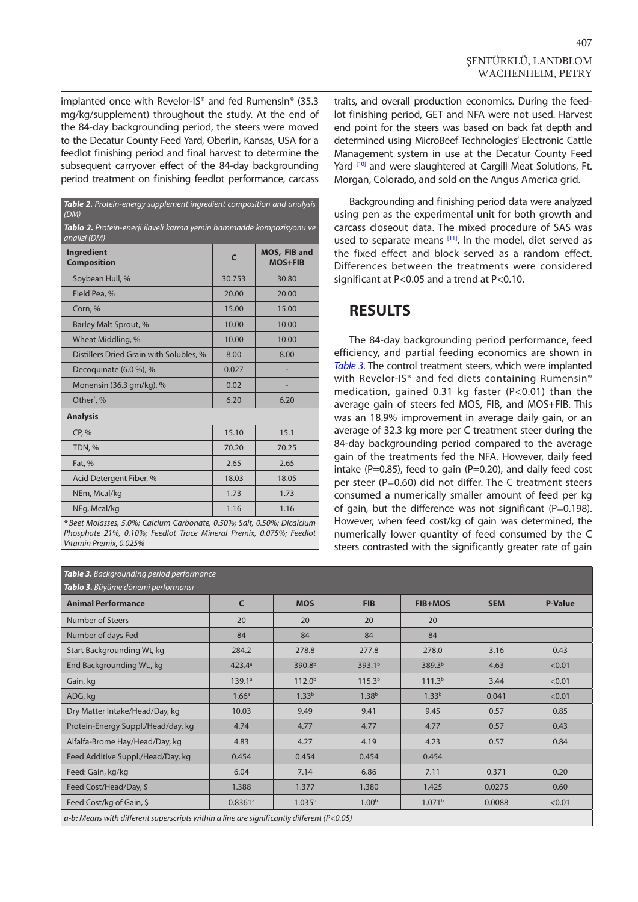<span id="page-2-0"></span>implanted once with Revelor-IS® and fed Rumensin® (35.3 mg/kg/supplement) throughout the study. At the end of the 84-day backgrounding period, the steers were moved to the Decatur County Feed Yard, Oberlin, Kansas, USA for a feedlot finishing period and final harvest to determine the subsequent carryover effect of the 84-day backgrounding period treatment on finishing feedlot performance, carcass

| Table 2. Protein-energy supplement ingredient composition and analysis<br>(DM)       |              |                                |  |  |  |  |
|--------------------------------------------------------------------------------------|--------------|--------------------------------|--|--|--|--|
| Tablo 2. Protein-enerji ilaveli karma yemin hammadde kompozisyonu ve<br>analizi (DM) |              |                                |  |  |  |  |
| <b>Ingredient</b><br><b>Composition</b>                                              | $\mathsf{C}$ | MOS, FIB and<br><b>MOS+FIB</b> |  |  |  |  |
| Soybean Hull, %                                                                      | 30.753       | 30.80                          |  |  |  |  |
| Field Pea, %                                                                         | 20.00        | 20.00                          |  |  |  |  |
| Corn, %                                                                              | 15.00        | 15.00                          |  |  |  |  |
| Barley Malt Sprout, %                                                                | 10.00        | 10.00                          |  |  |  |  |
| Wheat Middling, %                                                                    | 10.00        | 10.00                          |  |  |  |  |
| Distillers Dried Grain with Solubles, %                                              | 8.00         | 8.00                           |  |  |  |  |
| Decoguinate (6.0 %), %                                                               | 0.027        |                                |  |  |  |  |
| Monensin (36.3 gm/kg), %                                                             | 0.02         |                                |  |  |  |  |
| Other*, %                                                                            | 6.20         | 6.20                           |  |  |  |  |
| <b>Analysis</b>                                                                      |              |                                |  |  |  |  |
| CP, %                                                                                | 15.10        | 15.1                           |  |  |  |  |
| TDN, %                                                                               | 70.20        | 70.25                          |  |  |  |  |
| Fat, %                                                                               | 2.65         | 2.65                           |  |  |  |  |
| Acid Detergent Fiber, %                                                              | 18.03        | 18.05                          |  |  |  |  |
| NEm, Mcal/kg                                                                         | 1.73         | 1.73                           |  |  |  |  |
| NEg, Mcal/kg                                                                         | 1.16         | 1.16                           |  |  |  |  |
|                                                                                      |              |                                |  |  |  |  |

*\* Beet Molasses, 5.0%; Calcium Carbonate, 0.50%; Salt, 0.50%; Dicalcium Phosphate 21%, 0.10%; Feedlot Trace Mineral Premix, 0.075%; Feedlot Vitamin Premix, 0.025%*

traits, and overall production economics. During the feedlot finishing period, GET and NFA were not used. Harvest end point for the steers was based on back fat depth and determined using MicroBeef Technologies' Electronic Cattle Management system in use at the Decatur County Feed Yard <a>[10]</a> and were slaughtered at Cargill Meat Solutions, Ft. Morgan, Colorado, and sold on the Angus America grid.

Backgrounding and finishing period data were analyzed using pen as the experimental unit for both growth and carcass closeout data. The mixed procedure of SAS was used to separate means [\[11\].](#page-5-0) In the model, diet served as the fixed effect and block served as a random effect. Differences between the treatments were considered significant at P<0.05 and a trend at P<0.10.

### **RESULTS**

The 84-day backgrounding period performance, feed efficiency, and partial feeding economics are shown in *Table 3*. The control treatment steers, which were implanted with Revelor-IS<sup>®</sup> and fed diets containing Rumensin<sup>®</sup> medication, gained 0.31 kg faster (P<0.01) than the average gain of steers fed MOS, FIB, and MOS+FIB. This was an 18.9% improvement in average daily gain, or an average of 32.3 kg more per C treatment steer during the 84-day backgrounding period compared to the average gain of the treatments fed the NFA. However, daily feed intake (P=0.85), feed to gain (P=0.20), and daily feed cost per steer (P=0.60) did not differ. The C treatment steers consumed a numerically smaller amount of feed per kg of gain, but the difference was not significant (P=0.198). However, when feed cost/kg of gain was determined, the numerically lower quantity of feed consumed by the C steers contrasted with the significantly greater rate of gain

| <b>Animal Performance</b>          | $\mathsf{C}$          | <b>MOS</b>         | <b>FIB</b>         | <b>FIB+MOS</b>     | <b>SEM</b> | <b>P-Value</b> |
|------------------------------------|-----------------------|--------------------|--------------------|--------------------|------------|----------------|
| Number of Steers                   | 20                    | 20                 | 20                 | 20                 |            |                |
| Number of days Fed                 | 84                    | 84                 | 84                 | 84                 |            |                |
| Start Backgrounding Wt, kg         | 284.2                 | 278.8              | 277.8              | 278.0              | 3.16       | 0.43           |
| End Backgrounding Wt., kg          | $423.4^{\circ}$       | 390.8 <sup>b</sup> | 393.1 <sup>b</sup> | 389.3 <sup>b</sup> | 4.63       | < 0.01         |
| Gain, kg                           | 139.1a                | 112.0 <sup>b</sup> | 115.3 <sup>b</sup> | 111.3 <sup>b</sup> | 3.44       | < 0.01         |
| ADG, kg                            | 1.66 <sup>a</sup>     | 1.33 <sup>b</sup>  | 1.38 <sup>b</sup>  | 1.33 <sup>b</sup>  | 0.041      | < 0.01         |
| Dry Matter Intake/Head/Day, kg     | 10.03                 | 9.49               | 9.41               | 9.45               | 0.57       | 0.85           |
| Protein-Energy Suppl./Head/day, kg | 4.74                  | 4.77               | 4.77               | 4.77               | 0.57       | 0.43           |
| Alfalfa-Brome Hay/Head/Day, kg     | 4.83                  | 4.27               | 4.19               | 4.23               | 0.57       | 0.84           |
| Feed Additive Suppl./Head/Day, kg  | 0.454                 | 0.454              | 0.454              | 0.454              |            |                |
| Feed: Gain, kg/kg                  | 6.04                  | 7.14               | 6.86               | 7.11               | 0.371      | 0.20           |
| Feed Cost/Head/Day, \$             | 1.388                 | 1.377              | 1.380              | 1.425              | 0.0275     | 0.60           |
| Feed Cost/kg of Gain, \$           | $0.8361$ <sup>a</sup> | 1.035 <sup>b</sup> | 1.00 <sup>b</sup>  | 1.071 <sup>b</sup> | 0.0088     | < 0.01         |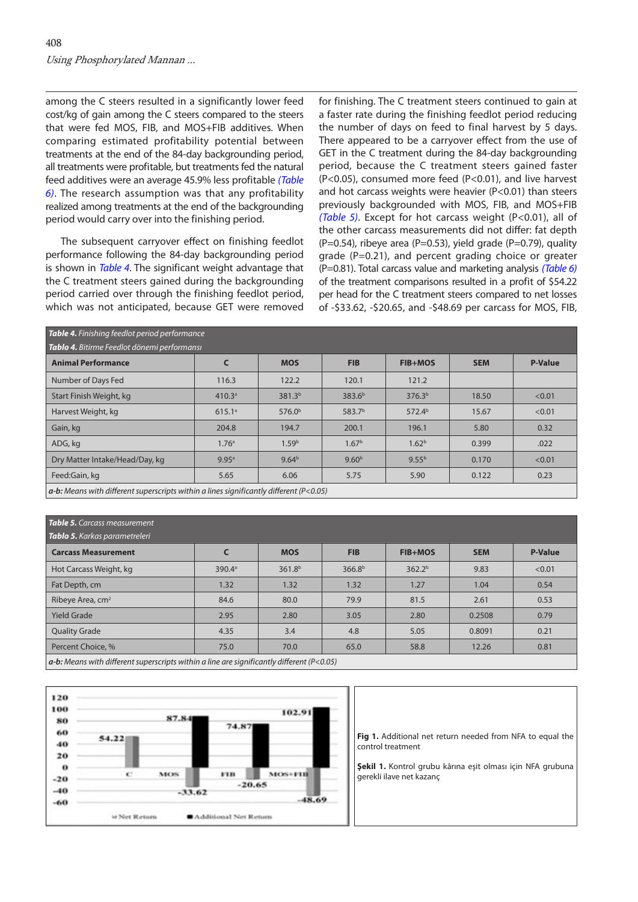<span id="page-3-0"></span>among the C steers resulted in a significantly lower feed cost/kg of gain among the C steers compared to the steers that were fed MOS, FIB, and MOS+FIB additives. When comparing estimated profitability potential between treatments at the end of the 84-day backgrounding period, all treatments were profitable, but treatments fed the natural feed additives were an average 45.9% less profitable *(Table [6\)](#page-4-0)*. The research assumption was that any profitability realized among treatments at the end of the backgrounding period would carry over into the finishing period.

The subsequent carryover effect on finishing feedlot performance following the 84-day backgrounding period is shown in *Table 4*. The significant weight advantage that the C treatment steers gained during the backgrounding period carried over through the finishing feedlot period, which was not anticipated, because GET were removed

for finishing. The C treatment steers continued to gain at a faster rate during the finishing feedlot period reducing the number of days on feed to final harvest by 5 days. There appeared to be a carryover effect from the use of GET in the C treatment during the 84-day backgrounding period, because the C treatment steers gained faster (P<0.05), consumed more feed (P<0.01), and live harvest and hot carcass weights were heavier (P<0.01) than steers previously backgrounded with MOS, FIB, and MOS+FIB *(Table 5)*. Except for hot carcass weight (P<0.01), all of the other carcass measurements did not differ: fat depth  $(P=0.54)$ , ribeye area (P=0.53), yield grade (P=0.79), quality grade (P=0.21), and percent grading choice or greater (P=0.81). Total carcass value and marketing analysis *([Table 6\)](#page-4-0)* of the treatment comparisons resulted in a profit of \$54.22 per head for the C treatment steers compared to net losses of -\$33.62, -\$20.65, and -\$48.69 per carcass for MOS, FIB,

| Table 4. Finishing feedlot period performance                                                 |                    |                    |                    |                    |            |                |  |
|-----------------------------------------------------------------------------------------------|--------------------|--------------------|--------------------|--------------------|------------|----------------|--|
| Tablo 4. Bitirme Feedlot dönemi performansı                                                   |                    |                    |                    |                    |            |                |  |
| <b>Animal Performance</b>                                                                     |                    | <b>MOS</b>         | <b>FIB</b>         | <b>FIB+MOS</b>     | <b>SEM</b> | <b>P-Value</b> |  |
| Number of Days Fed                                                                            | 116.3              | 122.2              | 120.1              | 121.2              |            |                |  |
| Start Finish Weight, kg                                                                       | 410.3 <sup>a</sup> | 381.3 <sup>b</sup> | 383.6 <sup>b</sup> | 376.3 <sup>b</sup> | 18.50      | < 0.01         |  |
| Harvest Weight, kg                                                                            | 615.1 <sup>a</sup> | 576.0 <sup>b</sup> | 583.7 <sup>b</sup> | 572.4 <sup>b</sup> | 15.67      | < 0.01         |  |
| Gain, kg                                                                                      | 204.8              | 194.7              | 200.1              | 196.1              | 5.80       | 0.32           |  |
| ADG, kg                                                                                       | 1.76 <sup>a</sup>  | 1.59 <sup>b</sup>  | 1.67 <sup>b</sup>  | 1.62 <sup>b</sup>  | 0.399      | .022           |  |
| Dry Matter Intake/Head/Day, kg                                                                | 9.95a              | 9.64 <sup>b</sup>  | 9.60 <sup>b</sup>  | 9.55 <sup>b</sup>  | 0.170      | < 0.01         |  |
| Feed:Gain, kg                                                                                 | 5.65               | 6.06               | 5.75               | 5.90               | 0.122      | 0.23           |  |
| $\sigma$ by Means with different synarcsripts within a lines significantly different (DzO O5) |                    |                    |                    |                    |            |                |  |

*a-b: Means with different superscripts within a lines significantly different (P<0.05)* 

#### **Table 5.** Carcass measurement

| <b>Tablo 5.</b> Karkas parametreleri                                                                                                                                                                                                                                                                                                                                                                                                              |                    |                    |                    |                    |            |                |  |
|---------------------------------------------------------------------------------------------------------------------------------------------------------------------------------------------------------------------------------------------------------------------------------------------------------------------------------------------------------------------------------------------------------------------------------------------------|--------------------|--------------------|--------------------|--------------------|------------|----------------|--|
| <b>Carcass Measurement</b>                                                                                                                                                                                                                                                                                                                                                                                                                        |                    | <b>MOS</b>         | <b>FIB</b>         | <b>FIB+MOS</b>     | <b>SEM</b> | <b>P-Value</b> |  |
| Hot Carcass Weight, kg                                                                                                                                                                                                                                                                                                                                                                                                                            | 390.4 <sup>a</sup> | 361.8 <sup>b</sup> | 366.8 <sup>b</sup> | 362.2 <sup>b</sup> | 9.83       | < 0.01         |  |
| Fat Depth, cm                                                                                                                                                                                                                                                                                                                                                                                                                                     | 1.32               | 1.32               | 1.32               | 1.27               | 1.04       | 0.54           |  |
| Ribeye Area, cm <sup>2</sup>                                                                                                                                                                                                                                                                                                                                                                                                                      | 84.6               | 80.0               | 79.9               | 81.5               | 2.61       | 0.53           |  |
| <b>Yield Grade</b>                                                                                                                                                                                                                                                                                                                                                                                                                                | 2.95               | 2.80               | 3.05               | 2.80               | 0.2508     | 0.79           |  |
| <b>Quality Grade</b>                                                                                                                                                                                                                                                                                                                                                                                                                              | 4.35               | 3.4                | 4.8                | 5.05               | 0.8091     | 0.21           |  |
| Percent Choice, %                                                                                                                                                                                                                                                                                                                                                                                                                                 | 75.0               | 70.0               | 65.0               | 58.8               | 12.26      | 0.81           |  |
| $\mathbf{r}$ and $\mathbf{r}$<br>$\cdot \cdot \cdot$ $\cdot \cdot \cdot$<br>$\mathbf{r}$ $\mathbf{r}$ $\mathbf{r}$ $\mathbf{r}$ $\mathbf{r}$ $\mathbf{r}$ $\mathbf{r}$ $\mathbf{r}$ $\mathbf{r}$ $\mathbf{r}$ $\mathbf{r}$ $\mathbf{r}$ $\mathbf{r}$ $\mathbf{r}$ $\mathbf{r}$ $\mathbf{r}$ $\mathbf{r}$ $\mathbf{r}$ $\mathbf{r}$ $\mathbf{r}$ $\mathbf{r}$ $\mathbf{r}$ $\mathbf{r}$ $\mathbf{r}$ $\mathbf{$<br>the contract of the contract of |                    |                    |                    |                    |            |                |  |

*a-b: Means with different superscripts within a line are significantly different (P<0.05)* 



**Fig 1.** Additional net return needed from NFA to equal the control treatment

**Şekil 1.** Kontrol grubu kârına eşit olması için NFA grubuna gerekli ilave net kazanç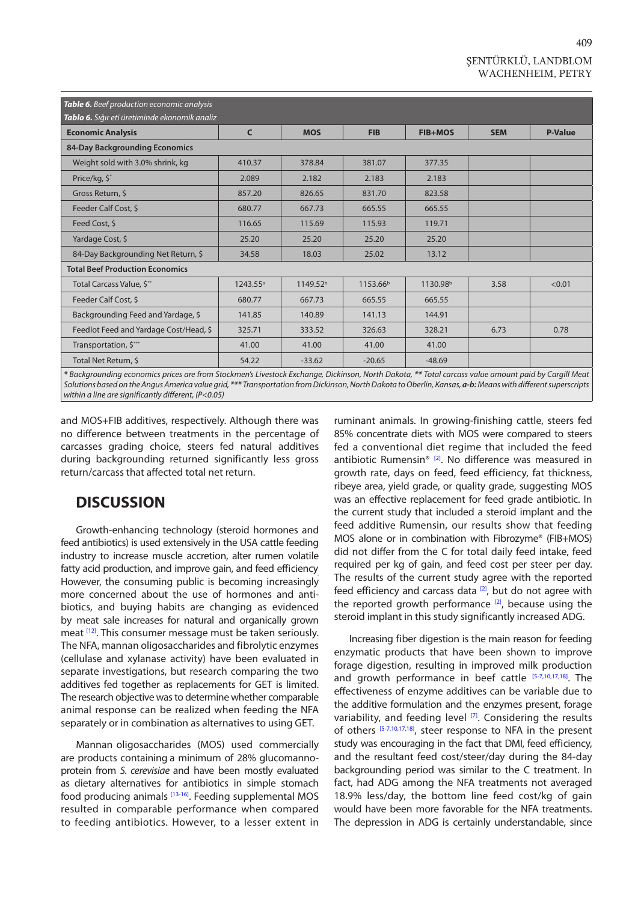<span id="page-4-0"></span>

| Table 6. Beef production economic analysis                                                                                                                                                                                                                                                                                                                                                         |              |                      |                      |                      |            |                |  |
|----------------------------------------------------------------------------------------------------------------------------------------------------------------------------------------------------------------------------------------------------------------------------------------------------------------------------------------------------------------------------------------------------|--------------|----------------------|----------------------|----------------------|------------|----------------|--|
| Tablo 6. Sığır eti üretiminde ekonomik analiz                                                                                                                                                                                                                                                                                                                                                      |              |                      |                      |                      |            |                |  |
| <b>Economic Analysis</b>                                                                                                                                                                                                                                                                                                                                                                           | $\mathsf{C}$ | <b>MOS</b>           | <b>FIB</b>           | <b>FIB+MOS</b>       | <b>SEM</b> | <b>P-Value</b> |  |
| 84-Day Backgrounding Economics                                                                                                                                                                                                                                                                                                                                                                     |              |                      |                      |                      |            |                |  |
| Weight sold with 3.0% shrink, kg                                                                                                                                                                                                                                                                                                                                                                   | 410.37       | 378.84               | 381.07               | 377.35               |            |                |  |
| Price/kg, \$*                                                                                                                                                                                                                                                                                                                                                                                      | 2.089        | 2.182                | 2.183                | 2.183                |            |                |  |
| Gross Return, \$                                                                                                                                                                                                                                                                                                                                                                                   | 857.20       | 826.65               | 831.70               | 823.58               |            |                |  |
| Feeder Calf Cost, \$                                                                                                                                                                                                                                                                                                                                                                               | 680.77       | 667.73               | 665.55               | 665.55               |            |                |  |
| Feed Cost, \$                                                                                                                                                                                                                                                                                                                                                                                      | 116.65       | 115.69               | 115.93               | 119.71               |            |                |  |
| Yardage Cost, \$                                                                                                                                                                                                                                                                                                                                                                                   | 25.20        | 25.20                | 25.20                | 25.20                |            |                |  |
| 84-Day Backgrounding Net Return, \$                                                                                                                                                                                                                                                                                                                                                                | 34.58        | 18.03                | 25.02                | 13.12                |            |                |  |
| <b>Total Beef Production Economics</b>                                                                                                                                                                                                                                                                                                                                                             |              |                      |                      |                      |            |                |  |
| Total Carcass Value, \$**                                                                                                                                                                                                                                                                                                                                                                          | $1243.55^a$  | 1149.52 <sup>b</sup> | 1153.66 <sup>b</sup> | 1130.98 <sup>b</sup> | 3.58       | < 0.01         |  |
| Feeder Calf Cost, \$                                                                                                                                                                                                                                                                                                                                                                               | 680.77       | 667.73               | 665.55               | 665.55               |            |                |  |
| Backgrounding Feed and Yardage, \$                                                                                                                                                                                                                                                                                                                                                                 | 141.85       | 140.89               | 141.13               | 144.91               |            |                |  |
| Feedlot Feed and Yardage Cost/Head, \$                                                                                                                                                                                                                                                                                                                                                             | 325.71       | 333.52               | 326.63               | 328.21               | 6.73       | 0.78           |  |
| Transportation, \$***                                                                                                                                                                                                                                                                                                                                                                              | 41.00        | 41.00                | 41.00                | 41.00                |            |                |  |
| Total Net Return, \$<br>$\mathcal{L} \cap \mathcal{L}$ , and $\mathcal{L} \cap \mathcal{L}$ , and $\mathcal{L} \cap \mathcal{L}$ , and $\mathcal{L} \cap \mathcal{L}$ , and $\mathcal{L} \cap \mathcal{L}$ , and $\mathcal{L} \cap \mathcal{L}$ , and $\mathcal{L} \cap \mathcal{L}$ , and $\mathcal{L} \cap \mathcal{L}$ , and $\mathcal{L} \cap \mathcal{L}$ , and $\mathcal{L} \cap \mathcal{L$ | 54.22        | $-33.62$             | $-20.65$             | $-48.69$             |            |                |  |

*\* Backgrounding economics prices are from Stockmen's Livestock Exchange, Dickinson, North Dakota, \*\* Total carcass value amount paid by Cargill Meat Solutions based on the Angus America value grid, \*\*\* Transportation from Dickinson, North Dakota to Oberlin, Kansas, a-b: Means with different superscripts within a line are significantly different, (P<0.05)* 

and MOS+FIB additives, respectively. Although there was no difference between treatments in the percentage of carcasses grading choice, steers fed natural additives during backgrounding returned significantly less gross return/carcass that affected total net return.

# **DISCUSSION**

Growth-enhancing technology (steroid hormones and feed antibiotics) is used extensively in the USA cattle feeding industry to increase muscle accretion, alter rumen volatile fatty acid production, and improve gain, and feed efficiency. However, the consuming public is becoming increasingly more concerned about the use of hormones and antibiotics, and buying habits are changing as evidenced by meat sale increases for natural and organically grown meat <a>[12]</a>. This consumer message must be taken seriously. The NFA, mannan oligosaccharides and fibrolytic enzymes (cellulase and xylanase activity) have been evaluated in separate investigations, but research comparing the two additives fed together as replacements for GET is limited. The research objective was to determine whether comparable animal response can be realized when feeding the NFA separately or in combination as alternatives to using GET.

Mannan oligosaccharides (MOS) used commercially are products containing a minimum of 28% glucomannoprotein from *S. cerevisiae* and have been mostly evaluated as dietary alternatives for antibiotics in simple stomach food producing animals [\[13-16\].](#page-5-0) Feeding supplemental MOS resulted in comparable performance when compared to feeding antibiotics. However, to a lesser extent in ruminant animals. In growing-finishing cattle, steers fed 85% concentrate diets with MOS were compared to steers fed a conventional diet regime that included the feed antibiotic Rumensin® [[2\].](#page-5-0) No difference was measured in growth rate, days on feed, feed efficiency, fat thickness, ribeye area, yield grade, or quality grade, suggesting MOS was an effective replacement for feed grade antibiotic. In the current study that included a steroid implant and the feed additive Rumensin, our results show that feeding MOS alone or in combination with Fibrozyme® (FIB+MOS) did not differ from the C for total daily feed intake, feed required per kg of gain, and feed cost per steer per day. The results of the current study agree with the reported feed efficiency and carcass data  $[2]$ , but do not agree with the reported growth performance  $[2]$ , because using the steroid implant in this study significantly increased ADG.

Increasing fiber digestion is the main reason for feeding enzymatic products that have been shown to improve forage digestion, resulting in improved milk production and growth performance in beef cattle [\[5-7,10,17,18\]](#page-5-0). The effectiveness of enzyme additives can be variable due to the additive formulation and the enzymes present, forage variability, and feeding level  $[7]$ . Considering the results of others [\[5](#page-5-0)-[7,10,17,18\],](#page-5-0) steer response to NFA in the present study was encouraging in the fact that DMI, feed efficiency, and the resultant feed cost/steer/day during the 84-day backgrounding period was similar to the C treatment. In fact, had ADG among the NFA treatments not averaged 18.9% less/day, the bottom line feed cost/kg of gain would have been more favorable for the NFA treatments. The depression in ADG is certainly understandable, since